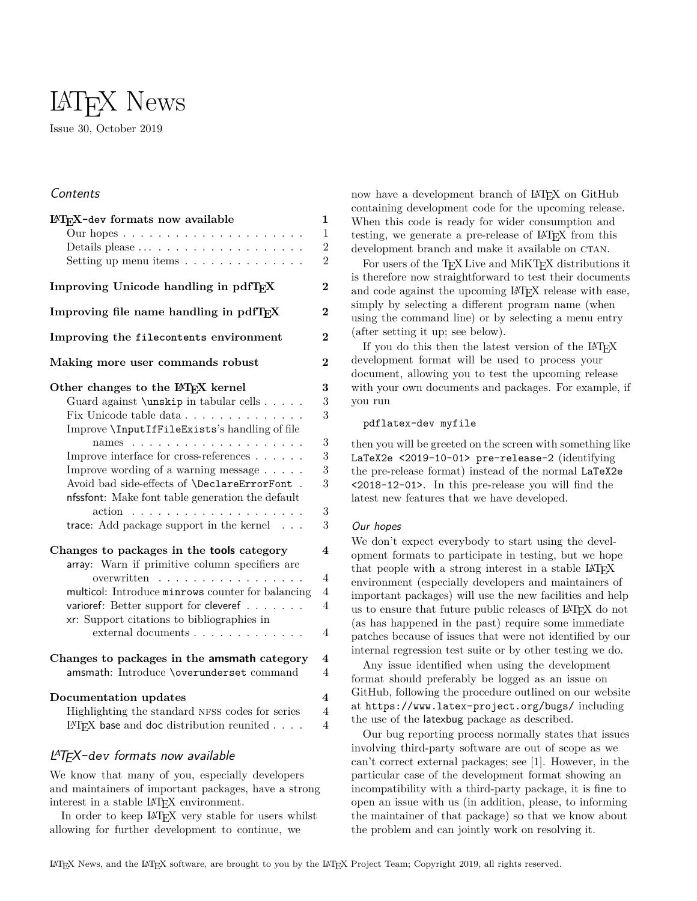# LATEX News

Issue 30, October 2019

# **Contents**

| IATFX-dev formats now available<br>Our hopes $\ldots \ldots \ldots \ldots \ldots \ldots \ldots$<br>Setting up menu items $\ldots \ldots \ldots \ldots$ | $\mathbf{1}$<br>$\overline{1}$<br>$\overline{2}$<br>$\overline{2}$ |
|--------------------------------------------------------------------------------------------------------------------------------------------------------|--------------------------------------------------------------------|
| Improving Unicode handling in pdfTFX                                                                                                                   | $\overline{2}$                                                     |
| Improving file name handling in pdfTFX                                                                                                                 | $\overline{\mathbf{2}}$                                            |
| Improving the filecontents environment                                                                                                                 | $\bf{2}$                                                           |
| Making more user commands robust                                                                                                                       | $\overline{2}$                                                     |
| Other changes to the LATFX kernel                                                                                                                      | $\overline{\bf 3}$                                                 |
| Guard against \unskip in tabular cells                                                                                                                 | 3                                                                  |
|                                                                                                                                                        | 3                                                                  |
| Improve \InputIfFileExists's handling of file                                                                                                          |                                                                    |
|                                                                                                                                                        | 3                                                                  |
| Improve interface for cross-references $\ldots \ldots$                                                                                                 | 3                                                                  |
| Improve wording of a warning message $\dots$ .                                                                                                         | 3                                                                  |
| Avoid bad side-effects of \DeclareErrorFont .                                                                                                          | 3                                                                  |
| nfssfont: Make font table generation the default                                                                                                       |                                                                    |
|                                                                                                                                                        | 3                                                                  |
| trace: Add package support in the kernel                                                                                                               | 3                                                                  |
| Changes to packages in the tools category                                                                                                              | $\overline{\mathbf{4}}$                                            |
| array: Warn if primitive column specifiers are                                                                                                         |                                                                    |
| overwritten                                                                                                                                            | $\overline{4}$                                                     |
| multicol: Introduce minrows counter for balancing                                                                                                      | $\overline{4}$                                                     |
| varioref: Better support for cleveref                                                                                                                  | $\overline{4}$                                                     |
| xr: Support citations to bibliographies in                                                                                                             |                                                                    |
| external documents                                                                                                                                     | $\overline{4}$                                                     |
| Changes to packages in the amsmath category                                                                                                            | $\overline{\mathbf{4}}$                                            |
| amsmath: Introduce \overunderset command                                                                                                               | $\overline{4}$                                                     |
| Documentation updates                                                                                                                                  | $\overline{\mathbf{4}}$                                            |
| Highlighting the standard NFSS codes for series                                                                                                        | $\overline{4}$                                                     |

# <span id="page-0-0"></span>LATEX-dev formats now available

We know that many of you, especially developers and maintainers of important packages, have a strong interest in a stable LAT<sub>EX</sub> environment.

LAT<sub>E</sub>X base and doc [distribution reunited](#page-3-9)  $\ldots$  4

In order to keep IAT<sub>EX</sub> very stable for users whilst allowing for further development to continue, we

now have a development branch of LAT<sub>EX</sub> on GitHub containing development code for the upcoming release. When this code is ready for wider consumption and testing, we generate a pre-release of LAT<sub>E</sub>X from this development branch and make it available on CTAN.

For users of the T<sub>E</sub>X Live and MiKT<sub>E</sub>X distributions it is therefore now straightforward to test their documents and code against the upcoming LATEX release with ease, simply by selecting a different program name (when using the command line) or by selecting a menu entry (after setting it up; see below).

If you do this then the latest version of the LAT<sub>EX</sub> development format will be used to process your document, allowing you to test the upcoming release with your own documents and packages. For example, if you run

## pdflatex-dev myfile

then you will be greeted on the screen with something like LaTeX2e <2019-10-01> pre-release-2 (identifying the pre-release format) instead of the normal LaTeX2e <2018-12-01>. In this pre-release you will find the latest new features that we have developed.

## <span id="page-0-1"></span>Our hopes

We don't expect everybody to start using the development formats to participate in testing, but we hope that people with a strong interest in a stable LAT<sub>E</sub>X environment (especially developers and maintainers of important packages) will use the new facilities and help us to ensure that future public releases of LAT<sub>EX</sub> do not (as has happened in the past) require some immediate patches because of issues that were not identified by our internal regression test suite or by other testing we do.

Any issue identified when using the development format should preferably be logged as an issue on GitHub, following the procedure outlined on our website at <https://www.latex-project.org/bugs/> including the use of the latexbug package as described.

Our bug reporting process normally states that issues involving third-party software are out of scope as we can't correct external packages; see [\[1\]](#page-3-10). However, in the particular case of the development format showing an incompatibility with a third-party package, it is fine to open an issue with us (in addition, please, to informing the maintainer of that package) so that we know about the problem and can jointly work on resolving it.

LATEX News, and the LATEX software, are brought to you by the LATEX Project Team; Copyright 2019, all rights reserved.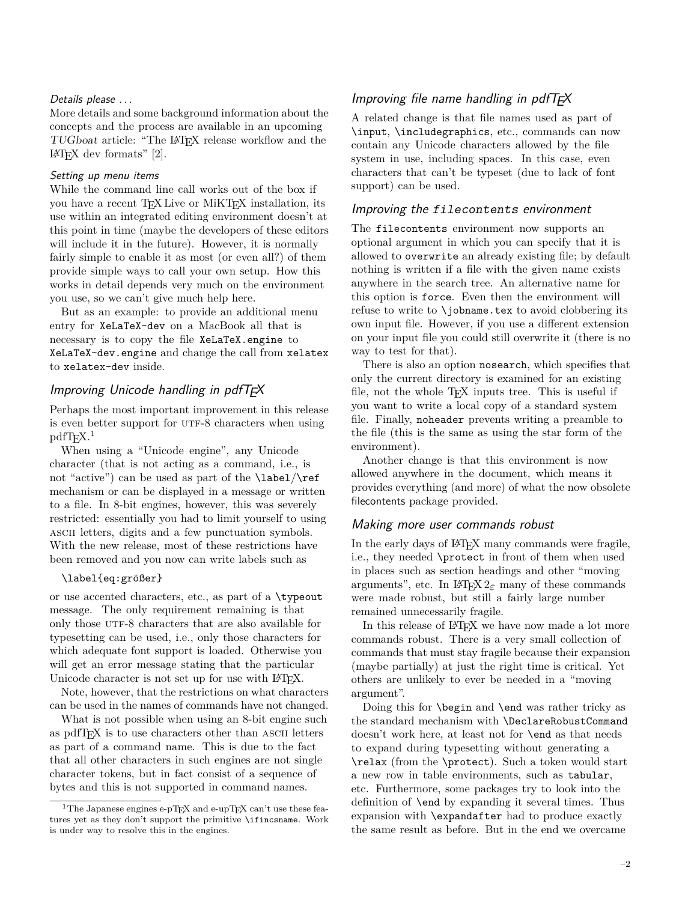## <span id="page-1-0"></span>Details please ...

More details and some background information about the concepts and the process are available in an upcoming TUGboat article: "The LATEX release workflow and the  $IAT$ <sub>F</sub>X dev formats" [\[2\]](#page-3-11).

## <span id="page-1-1"></span>Setting up menu items

While the command line call works out of the box if you have a recent TEX Live or MiKTEX installation, its use within an integrated editing environment doesn't at this point in time (maybe the developers of these editors will include it in the future). However, it is normally fairly simple to enable it as most (or even all?) of them provide simple ways to call your own setup. How this works in detail depends very much on the environment you use, so we can't give much help here.

But as an example: to provide an additional menu entry for XeLaTeX-dev on a MacBook all that is necessary is to copy the file XeLaTeX.engine to XeLaTeX-dev.engine and change the call from xelatex to xelatex-dev inside.

# <span id="page-1-2"></span>Improving Unicode handling in pdfT $\cancel{\equiv}$ X

Perhaps the most important improvement in this release is even better support for UTF-8 characters when using  $pdfTrX.<sup>1</sup>$  $pdfTrX.<sup>1</sup>$  $pdfTrX.<sup>1</sup>$ 

When using a "Unicode engine", any Unicode character (that is not acting as a command, i.e., is not "active") can be used as part of the \label/\ref mechanism or can be displayed in a message or written to a file. In 8-bit engines, however, this was severely restricted: essentially you had to limit yourself to using ascii letters, digits and a few punctuation symbols. With the new release, most of these restrictions have been removed and you now can write labels such as

# \label{eq:größer}

or use accented characters, etc., as part of a \typeout message. The only requirement remaining is that only those UTF-8 characters that are also available for typesetting can be used, i.e., only those characters for which adequate font support is loaded. Otherwise you will get an error message stating that the particular Unicode character is not set up for use with LAT<sub>EX</sub>.

Note, however, that the restrictions on what characters can be used in the names of commands have not changed.

What is not possible when using an 8-bit engine such as pdfT<sub>F</sub>X is to use characters other than ASCII letters as part of a command name. This is due to the fact that all other characters in such engines are not single character tokens, but in fact consist of a sequence of bytes and this is not supported in command names.

# <span id="page-1-3"></span>Improving file name handling in pdfT $\cancel{F}X$

A related change is that file names used as part of \input, \includegraphics, etc., commands can now contain any Unicode characters allowed by the file system in use, including spaces. In this case, even characters that can't be typeset (due to lack of font support) can be used.

## <span id="page-1-4"></span>Improving the filecontents environment

The filecontents environment now supports an optional argument in which you can specify that it is allowed to overwrite an already existing file; by default nothing is written if a file with the given name exists anywhere in the search tree. An alternative name for this option is force. Even then the environment will refuse to write to \jobname.tex to avoid clobbering its own input file. However, if you use a different extension on your input file you could still overwrite it (there is no way to test for that).

There is also an option nosearch, which specifies that only the current directory is examined for an existing file, not the whole T<sub>E</sub>X inputs tree. This is useful if you want to write a local copy of a standard system file. Finally, noheader prevents writing a preamble to the file (this is the same as using the star form of the environment).

Another change is that this environment is now allowed anywhere in the document, which means it provides everything (and more) of what the now obsolete filecontents package provided.

## <span id="page-1-5"></span>Making more user commands robust

In the early days of LATEX many commands were fragile, i.e., they needed \protect in front of them when used in places such as section headings and other "moving arguments", etc. In  $\text{LATEX} 2_{\epsilon}$  many of these commands were made robust, but still a fairly large number remained unnecessarily fragile.

In this release of LATEX we have now made a lot more commands robust. There is a very small collection of commands that must stay fragile because their expansion (maybe partially) at just the right time is critical. Yet others are unlikely to ever be needed in a "moving argument".

Doing this for \begin and \end was rather tricky as the standard mechanism with \DeclareRobustCommand doesn't work here, at least not for \end as that needs to expand during typesetting without generating a \relax (from the \protect). Such a token would start a new row in table environments, such as tabular, etc. Furthermore, some packages try to look into the definition of \end by expanding it several times. Thus expansion with \expandafter had to produce exactly the same result as before. But in the end we overcame

<span id="page-1-6"></span><sup>&</sup>lt;sup>1</sup>The Japanese engines e-pT<sub>E</sub>X and e-upT<sub>E</sub>X can't use these features yet as they don't support the primitive \ifincsname. Work is under way to resolve this in the engines.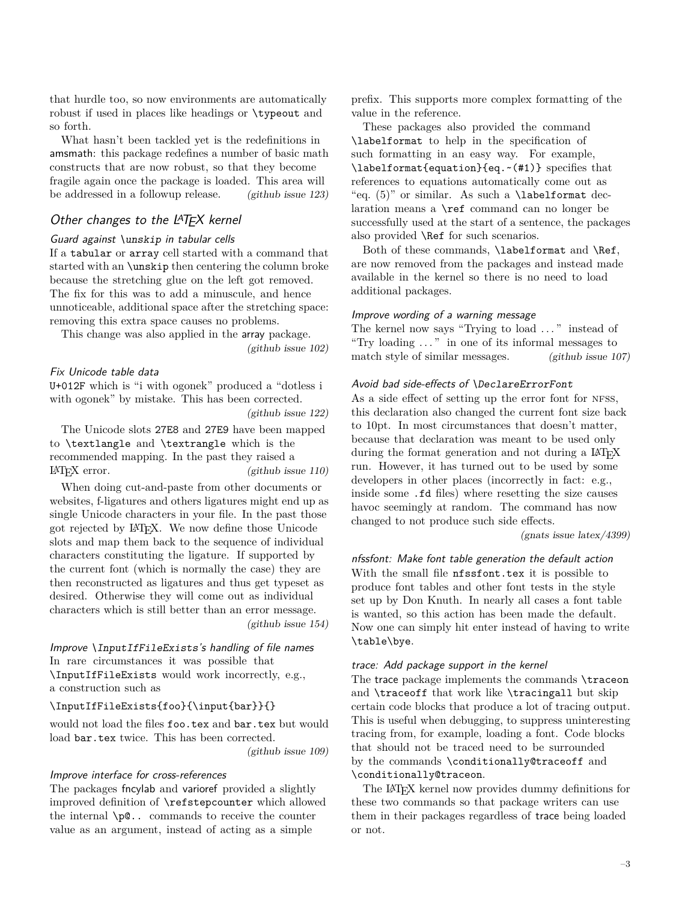that hurdle too, so now environments are automatically robust if used in places like headings or \typeout and so forth.

What hasn't been tackled yet is the redefinitions in amsmath: this package redefines a number of basic math constructs that are now robust, so that they become fragile again once the package is loaded. This area will be addressed in a followup release. [\(github issue 123\)](https://github.com/latex3/latex2e/issues/123)

# <span id="page-2-0"></span>Other changes to the LAT<sub>E</sub>X kernel

#### <span id="page-2-1"></span>Guard against \unskip in tabular cells

If a tabular or array cell started with a command that started with an \unskip then centering the column broke because the stretching glue on the left got removed. The fix for this was to add a minuscule, and hence unnoticeable, additional space after the stretching space: removing this extra space causes no problems.

This change was also applied in the array package.

[\(github issue 102\)](https://github.com/latex3/latex2e/issues/102)

## <span id="page-2-2"></span>Fix Unicode table data

U+012F which is "i with ogonek" produced a "dotless i with ogonek" by mistake. This has been corrected.

[\(github issue 122\)](https://github.com/latex3/latex2e/issues/122)

The Unicode slots 27E8 and 27E9 have been mapped to \textlangle and \textrangle which is the recommended mapping. In the past they raised a  $\text{LATEX error.}$  [\(github issue 110\)](https://github.com/latex3/latex2e/issues/110)

When doing cut-and-paste from other documents or websites, f-ligatures and others ligatures might end up as single Unicode characters in your file. In the past those got rejected by LATEX. We now define those Unicode slots and map them back to the sequence of individual characters constituting the ligature. If supported by the current font (which is normally the case) they are then reconstructed as ligatures and thus get typeset as desired. Otherwise they will come out as individual characters which is still better than an error message. [\(github issue 154\)](https://github.com/latex3/latex2e/issues/154)

# <span id="page-2-3"></span>Improve \InputIfFileExists's handling of file names In rare circumstances it was possible that \InputIfFileExists would work incorrectly, e.g., a construction such as

#### \InputIfFileExists{foo}{\input{bar}}{}

would not load the files foo.tex and bar.tex but would load bar.tex twice. This has been corrected.

[\(github issue 109\)](https://github.com/latex3/latex2e/issues/109)

# <span id="page-2-4"></span>Improve interface for cross-references

The packages fncylab and varioref provided a slightly improved definition of \refstepcounter which allowed the internal \p@.. commands to receive the counter value as an argument, instead of acting as a simple

prefix. This supports more complex formatting of the value in the reference.

These packages also provided the command \labelformat to help in the specification of such formatting in an easy way. For example, \labelformat{equation}{eq.~(#1)} specifies that references to equations automatically come out as "eq.  $(5)$ " or similar. As such a **\labelformat** declaration means a \ref command can no longer be successfully used at the start of a sentence, the packages also provided \Ref for such scenarios.

Both of these commands, \labelformat and \Ref, are now removed from the packages and instead made available in the kernel so there is no need to load additional packages.

#### <span id="page-2-5"></span>Improve wording of a warning message

The kernel now says "Trying to load ..." instead of "Try loading . . . " in one of its informal messages to match style of similar messages. [\(github issue 107\)](https://github.com/latex3/latex2e/issues/107)

## <span id="page-2-6"></span>Avoid bad side-effects of \DeclareErrorFont

As a side effect of setting up the error font for NFSS, this declaration also changed the current font size back to 10pt. In most circumstances that doesn't matter, because that declaration was meant to be used only during the format generation and not during a LAT<sub>EX</sub> run. However, it has turned out to be used by some developers in other places (incorrectly in fact: e.g., inside some .fd files) where resetting the size causes havoc seemingly at random. The command has now changed to not produce such side effects.

#### [\(gnats issue latex/4399\)](https://www.latex-project.org/cgi-bin/ltxbugs2html?pr=latex%2F4399)

<span id="page-2-7"></span>nfssfont: Make font table generation the default action With the small file nfssfont.tex it is possible to produce font tables and other font tests in the style set up by Don Knuth. In nearly all cases a font table is wanted, so this action has been made the default. Now one can simply hit enter instead of having to write \table\bye.

#### <span id="page-2-8"></span>trace: Add package support in the kernel

The trace package implements the commands \traceon and \traceoff that work like \tracingall but skip certain code blocks that produce a lot of tracing output. This is useful when debugging, to suppress uninteresting tracing from, for example, loading a font. Code blocks that should not be traced need to be surrounded by the commands \conditionally@traceoff and \conditionally@traceon.

The LATEX kernel now provides dummy definitions for these two commands so that package writers can use them in their packages regardless of trace being loaded or not.